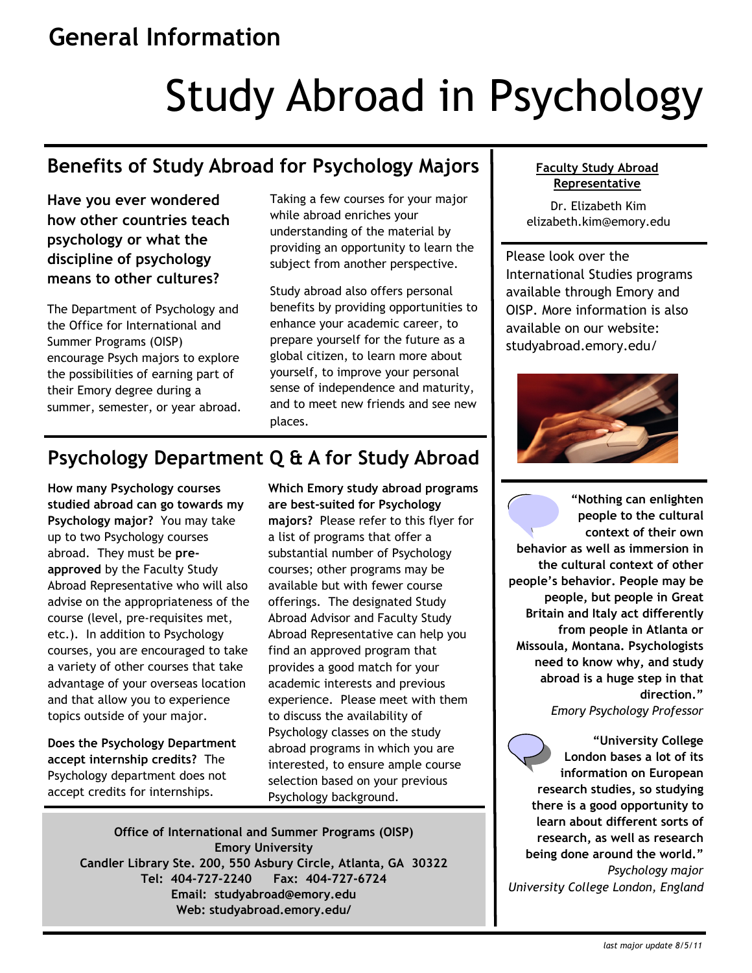## **General Information**

# Study Abroad in Psychology

## **Benefits of Study Abroad for Psychology Majors**

**Have you ever wondered how other countries teach psychology or what the discipline of psychology means to other cultures?** 

The Department of Psychology and the Office for International and Summer Programs (OISP) encourage Psych majors to explore the possibilities of earning part of their Emory degree during a summer, semester, or year abroad. Taking a few courses for your major while abroad enriches your understanding of the material by providing an opportunity to learn the subject from another perspective.

Study abroad also offers personal benefits by providing opportunities to enhance your academic career, to prepare yourself for the future as a global citizen, to learn more about yourself, to improve your personal sense of independence and maturity, and to meet new friends and see new places.

## **Psychology Department Q & A for Study Abroad**

**How many Psychology courses studied abroad can go towards my Psychology major?** You may take up to two Psychology courses abroad. They must be **preapproved** by the Faculty Study Abroad Representative who will also advise on the appropriateness of the course (level, pre-requisites met, etc.). In addition to Psychology courses, you are encouraged to take a variety of other courses that take advantage of your overseas location and that allow you to experience topics outside of your major.

**Does the Psychology Department accept internship credits?** The Psychology department does not accept credits for internships.

**Which Emory study abroad programs are best-suited for Psychology majors?** Please refer to this flyer for a list of programs that offer a substantial number of Psychology courses; other programs may be available but with fewer course offerings. The designated Study Abroad Advisor and Faculty Study Abroad Representative can help you find an approved program that provides a good match for your academic interests and previous experience. Please meet with them to discuss the availability of Psychology classes on the study abroad programs in which you are interested, to ensure ample course selection based on your previous Psychology background.

**Office of International and Summer Programs (OISP) Emory University Candler Library Ste. 200, 550 Asbury Circle, Atlanta, GA 30322 Tel: 404-727-2240 Fax: 404-727-6724 Email: studyabroad@emory.edu Web: studyabroad.emory.edu/**

#### **Faculty Study Abroad Representative**

Dr. Elizabeth Kim elizabeth.kim@emory.edu

Please look over the International Studies programs available through Emory and OISP. More information is also available on our website: studyabroad.emory.edu/



**"Nothing can enlighten people to the cultural context of their own behavior as well as immersion in the cultural context of other people's behavior. People may be people, but people in Great Britain and Italy act differently from people in Atlanta or Missoula, Montana. Psychologists need to know why, and study abroad is a huge step in that direction."**  *Emory Psychology Professor*

**"University College London bases a lot of its information on European research studies, so studying there is a good opportunity to learn about different sorts of research, as well as research being done around the world."**  *Psychology major University College London, England*